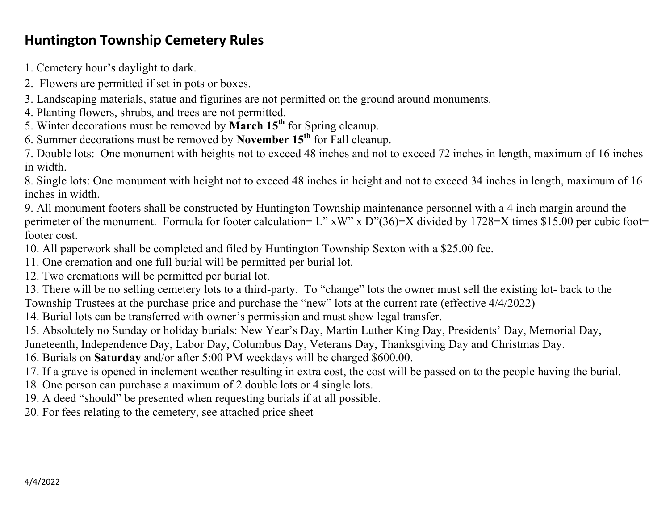## **Huntington Township Cemetery Rules**

1. Cemetery hour's daylight to dark.

- 2. Flowers are permitted if set in pots or boxes.
- 3. Landscaping materials, statue and figurines are not permitted on the ground around monuments.
- 4. Planting flowers, shrubs, and trees are not permitted.
- 5. Winter decorations must be removed by **March 15th** for Spring cleanup.
- 6. Summer decorations must be removed by **November 15th** for Fall cleanup.

7. Double lots: One monument with heights not to exceed 48 inches and not to exceed 72 inches in length, maximum of 16 inches in width.

8. Single lots: One monument with height not to exceed 48 inches in height and not to exceed 34 inches in length, maximum of 16 inches in width.

9. All monument footers shall be constructed by Huntington Township maintenance personnel with a 4 inch margin around the perimeter of the monument. Formula for footer calculation= L" xW" x D"(36)=X divided by 1728=X times \$15.00 per cubic foot= footer cost.

10. All paperwork shall be completed and filed by Huntington Township Sexton with a \$25.00 fee.

11. One cremation and one full burial will be permitted per burial lot.

12. Two cremations will be permitted per burial lot.

13. There will be no selling cemetery lots to a third-party. To "change" lots the owner must sell the existing lot- back to the Township Trustees at the purchase price and purchase the "new" lots at the current rate (effective 4/4/2022)

14. Burial lots can be transferred with owner's permission and must show legal transfer.

15. Absolutely no Sunday or holiday burials: New Year's Day, Martin Luther King Day, Presidents' Day, Memorial Day,

Juneteenth, Independence Day, Labor Day, Columbus Day, Veterans Day, Thanksgiving Day and Christmas Day.

16. Burials on **Saturday** and/or after 5:00 PM weekdays will be charged \$600.00.

17. If a grave is opened in inclement weather resulting in extra cost, the cost will be passed on to the people having the burial.

18. One person can purchase a maximum of 2 double lots or 4 single lots.

19. A deed "should" be presented when requesting burials if at all possible.

20. For fees relating to the cemetery, see attached price sheet